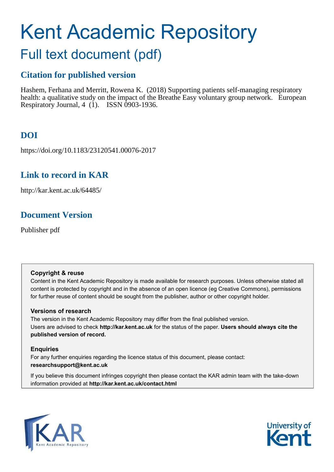# Kent Academic Repository

# Full text document (pdf)

# **Citation for published version**

Hashem, Ferhana and Merritt, Rowena K. (2018) Supporting patients self-managing respiratory health: a qualitative study on the impact of the Breathe Easy voluntary group network. European Respiratory Journal, 4 (1). ISSN 0903-1936.

# **DOI**

https://doi.org/10.1183/23120541.00076-2017

# **Link to record in KAR**

http://kar.kent.ac.uk/64485/

# **Document Version**

Publisher pdf

## **Copyright & reuse**

Content in the Kent Academic Repository is made available for research purposes. Unless otherwise stated all content is protected by copyright and in the absence of an open licence (eg Creative Commons), permissions for further reuse of content should be sought from the publisher, author or other copyright holder.

## **Versions of research**

The version in the Kent Academic Repository may differ from the final published version. Users are advised to check **http://kar.kent.ac.uk** for the status of the paper. **Users should always cite the published version of record.**

## **Enquiries**

For any further enquiries regarding the licence status of this document, please contact: **researchsupport@kent.ac.uk**

If you believe this document infringes copyright then please contact the KAR admin team with the take-down information provided at **http://kar.kent.ac.uk/contact.html**



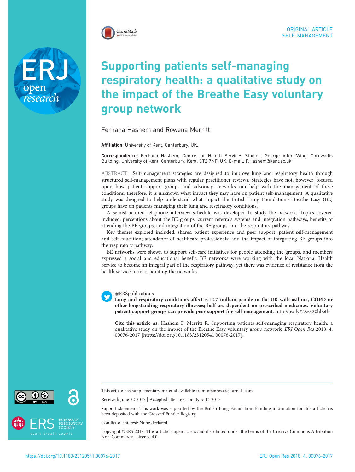

open<br>research

# Supporting patients self-managing respiratory health: a qualitative study on the impact of the Breathe Easy voluntary group network

Ferhana Hashem and Rowena Merritt

Affiliation: University of Kent, Canterbury, UK.

Correspondence: Ferhana Hashem, Centre for Health Services Studies, George Allen Wing, Cornwallis Building, University of Kent, Canterbury, Kent, CT2 7NF, UK. E-mail: [F.Hashem@kent.ac.uk](mailto:F.Hashem@kent.ac.uk)

ABSTRACT Self-management strategies are designed to improve lung and respiratory health through structured self-management plans with regular practitioner reviews. Strategies have not, however, focused upon how patient support groups and advocacy networks can help with the management of these conditions; therefore, it is unknown what impact they may have on patient self-management. A qualitative study was designed to help understand what impact the British Lung Foundation's Breathe Easy (BE) groups have on patients managing their lung and respiratory conditions.

A semistructured telephone interview schedule was developed to study the network. Topics covered included: perceptions about the BE groups; current referrals systems and integration pathways; benefits of attending the BE groups; and integration of the BE groups into the respiratory pathway.

Key themes explored included: shared patient experience and peer support; patient self-management and self-education; attendance of healthcare professionals; and the impact of integrating BE groups into the respiratory pathway.

BE networks were shown to support self-care initiatives for people attending the groups, and members expressed a social and educational benefit. BE networks were working with the local National Health Service to become an integral part of the respiratory pathway, yet there was evidence of resistance from the health service in incorporating the networks.

@ERSpublications

Lung and respiratory conditions affect ∼12.7 million people in the UK with asthma, COPD or other longstanding respiratory illnesses; half are dependent on prescribed medicines. Voluntary patient support groups can provide peer support for self-management. <http://ow.ly/7Xz330hbeth>

Cite this article as: Hashem F, Merritt R. Supporting patients self-managing respiratory health: a qualitative study on the impact of the Breathe Easy voluntary group network. ERJ Open Res 2018; 4: 00076-2017 [\[https://doi.org/10.1183/23120541.00076-2017\].](https://doi.org/10.1183/23120541.00076-2017)





This article has supplementary material available from<openres.ersjournals.com>

Received: June 22 2017 | Accepted after revision: Nov 14 2017

Support statement: This work was supported by the British Lung Foundation. Funding information for this article has been deposited with the [Crossref Funder Registry.](https://www.crossref.org/services/funder-registry/)

Conflict of interest: None declared.

Copyright ©ERS 2018. This article is open access and distributed under the terms of the Creative Commons Attribution Non-Commercial Licence 4.0.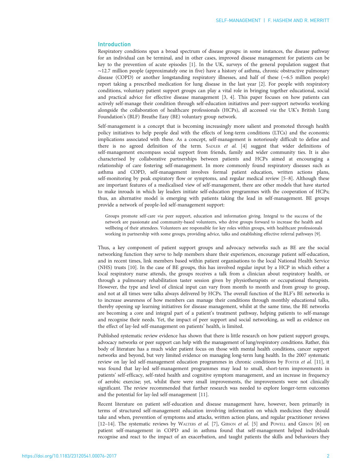#### Introduction

Respiratory conditions span a broad spectrum of disease groups: in some instances, the disease pathway for an individual can be terminal, and in other cases, improved disease management for patients can be key to the prevention of acute episodes [[1\]](#page-9-0). In the UK, surveys of the general population suggest that ∼12.7 million people (approximately one in five) have a history of asthma, chronic obstructive pulmonary disease (COPD) or another longstanding respiratory illnesses, and half of these (∼6.5 million people) report taking a prescribed medication for lung disease in the last year [\[2\]](#page-9-0). For people with respiratory conditions, voluntary patient support groups can play a vital role in bringing together educational, social and practical advice for effective disease management [\[3, 4](#page-9-0)]. This paper focuses on how patients can actively self-manage their condition through self-education initiatives and peer-support networks working alongside the collaboration of healthcare professionals (HCPs), all accessed via the UK's British Lung Foundation's (BLF) Breathe Easy (BE) voluntary group network.

Self-management is a concept that is becoming increasingly more salient and promoted through health policy initiatives to help people deal with the effects of long-term conditions (LTCs) and the economic implications associated with these. As a concept, self-management is notoriously difficult to define and there is no agreed definition of the term. SADLER et al. [\[4\]](#page-9-0) suggest that wider definitions of self-management encompass social support from friends, family and wider community ties. It is also characterised by collaborative partnerships between patients and HCPs aimed at encouraging a relationship of care fostering self-management. In more commonly found respiratory diseases such as asthma and COPD, self-management involves formal patient education, written actions plans, self-monitoring by peak expiratory flow or symptoms, and regular medical review [\[5](#page-9-0)–[8](#page-9-0)]. Although these are important features of a medicalised view of self-management, there are other models that have started to make inroads in which lay leaders initiate self-education programmes with the cooperation of HCPs; thus, an alternative model is emerging with patients taking the lead in self-management. BE groups provide a network of people-led self-management support:

Groups promote self-care via peer support, education and information giving. Integral to the success of the network are passionate and community-based volunteers, who drive groups forward to increase the health and wellbeing of their attendees. Volunteers are responsible for key roles within groups, with healthcare professionals working in partnership with some groups, providing advice, talks and establishing effective referral pathways [[9](#page-9-0)].

Thus, a key component of patient support groups and advocacy networks such as BE are the social networking function they serve to help members share their experiences, encourage patient self-education, and in recent times, link members based within patient organisations to the local National Health Service (NHS) trusts [[10](#page-9-0)]. In the case of BE groups, this has involved regular input by a HCP in which either a local respiratory nurse attends, the groups receives a talk from a clinician about respiratory health, or through a pulmonary rehabilitation taster session given by physiotherapists or occupational therapists. However, the type and level of clinical input can vary from month to month and from group to group, and not at all times were talks always delivered by HCPs. The overall function of the BLF's BE networks is to increase awareness of how members can manage their conditions through monthly educational talks, thereby opening up learning initiatives for disease management, whilst at the same time, the BE networks are becoming a core and integral part of a patient's treatment pathway, helping patients to self-manage and recognise their needs. Yet, the impact of peer support and social networking, as well as evidence on the effect of lay-led self-management on patients' health, is limited.

Published systematic review evidence has shown that there is little research on how patient support groups, advocacy networks or peer support can help with the management of lung/respiratory conditions. Rather, this body of literature has a much wider patient focus on those with mental health conditions, cancer support networks and beyond, but very limited evidence on managing long-term lung health. In the 2007 systematic review on lay led self-management education programmes in chronic conditions by FOSTER et al. [\[11](#page-9-0)], it was found that lay-led self-management programmes may lead to small, short-term improvements in patients' self-efficacy, self-rated health and cognitive symptom management, and an increase in frequency of aerobic exercise; yet, whilst there were small improvements, the improvements were not clinically significant. The review recommended that further research was needed to explore longer-term outcomes and the potential for lay-led self-management [[11](#page-9-0)].

Recent literature on patient self-education and disease management have, however, been primarily in terms of structured self-management education involving information on which medicines they should take and when, prevention of symptoms and attacks, written action plans, and regular practitioner reviews [[12](#page-9-0)-[14](#page-9-0)]. The systematic reviews by WALTERS et al. [\[7](#page-9-0)], GIBSON et al. [\[5\]](#page-9-0) and POWELL and GIBSON [\[6](#page-9-0)] on patient self-management in COPD and in asthma found that self-management helped individuals recognise and react to the impact of an exacerbation, and taught patients the skills and behaviours they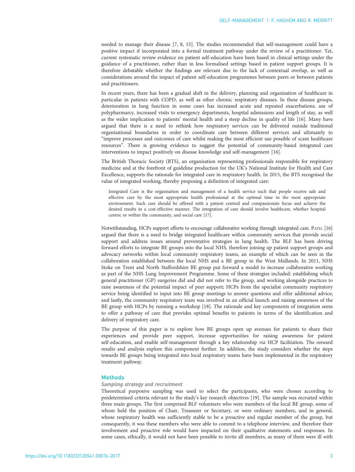<span id="page-3-0"></span>needed to manage their disease [[7, 8, 15\]](#page-9-0). The studies recommended that self-management could have a positive impact if incorporated into a formal treatment pathway under the review of a practitioner. Yet, current systematic review evidence on patient self-education have been based in clinical settings under the guidance of a practitioner, rather than in less formalised settings based in patient support groups. It is therefore debatable whether the findings are relevant due to the lack of contextual overlap, as well as considerations around the impact of patient self-education programmes between peers or between patients and practitioners.

In recent years, there has been a gradual shift in the delivery, planning and organisation of healthcare in particular in patients with COPD, as well as other chronic respiratory diseases. In these disease groups, deterioration in lung function in some cases has increased acute and repeated exacerbations, use of polypharmarcy, increased visits to emergency departments, hospital admissions and length of stay, as well as the wider implication to patients' mental health and a steep decline in quality of life [[16\]](#page-9-0). Many have argued that there is a need to rethink how respiratory services can be delivered outside traditional organisational boundaries in order to coordinate care between different services and ultimately to "improve processes and outcomes of care whilst making the most efficient use possible of scant healthcare resources". There is growing evidence to suggest the potential of community-based integrated care interventions to impact positively on disease knowledge and self-management [\[16\]](#page-9-0).

The British Thoracic Society (BTS), an organisation representing professionals responsible for respiratory medicine and at the forefront of guideline production for the UK's National Institute for Health and Care Excellence, supports the rationale for integrated care in respiratory health. In 2015, the BTS recognised the value of integrated working, thereby proposing a definition of integrated care:

Integrated Care is the organisation and management of a health service such that people receive safe and effective care by the most appropriate health professional at the optimal time in the most appropriate environment. Such care should be offered with a patient centred and compassionate focus and achieve the desired results in a cost-effective manner. The integration of care should involve healthcare, whether hospital centric or within the community, and social care [\[17\]](#page-9-0).

Notwithstanding, HCPs support efforts to encourage collaborative working through integrated care. PATEL [\[16](#page-9-0)] argued that there is a need to bridge integrated healthcare within community services that provide social support and address issues around preventative strategies in lung health. The BLF has been driving forward efforts to integrate BE groups into the local NHS, therefore joining up patient support groups and advocacy networks within local community respiratory teams, an example of which can be seen in the collaboration established between the local NHS and a BE group in the West Midlands. In 2011, NHS Stoke on Trent and North Staffordshire BE group put forward a model to increase collaborative working as part of the NHS Lung Improvement Programme. Some of these strategies included: establishing which general practitioner (GP) surgeries did and did not refer to the group, and working alongside practices to raise awareness of the potential impact of peer support; HCPs from the specialist community respiratory service being identified to input into BE group meetings to answer questions and offer additional advice; and lastly, the community respiratory team was involved in an official launch and raising awareness of the BE group with HCPs by running a workshop [\[18\]](#page-9-0). The rationale and key components of integration seem to offer a pathway of care that provides optimal benefits to patients in terms of the identification and delivery of respiratory care.

The purpose of this paper is to explore how BE groups open up avenues for patients to share their experiences and provide peer support, increase opportunities for raising awareness for patient self-education, and enable self-management through a key relationship via HCP facilitation. The onward results and analysis explore this component further. In addition, the study considers whether the steps towards BE groups being integrated into local respiratory teams have been implemented in the respiratory treatment pathway.

#### **Methods**

#### Sampling strategy and recruitment

Theoretical purposive sampling was used to select the participants, who were chosen according to predetermined criteria relevant to the study's key research objectives [[19](#page-9-0)]. The sample was recruited within three main groups. The first comprised BLF volunteers who were members of the local BE group, some of whom held the position of Chair, Treasurer or Secretary, or were ordinary members, and in general, whose respiratory health was sufficiently stable to be a proactive and regular member of the group, but consequently, it was these members who were able to commit to a telephone interview, and therefore their involvement and proactive role would have impacted on their qualitative statements and responses. In some cases, ethically, it would not have been possible to invite all members, as many of them were ill with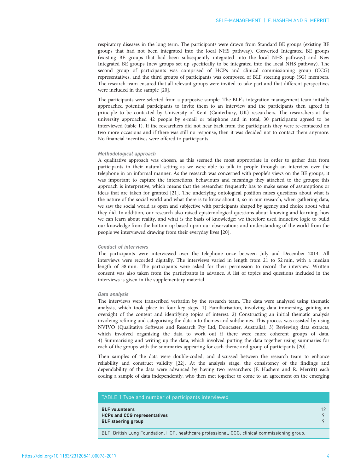respiratory diseases in the long term. The participants were drawn from Standard BE groups (existing BE groups that had not been integrated into the local NHS pathway), Converted Integrated BE groups (existing BE groups that had been subsequently integrated into the local NHS pathway) and New Integrated BE groups (new groups set up specifically to be integrated into the local NHS pathway). The second group of participants was comprised of HCPs and clinical commissioning group (CCG) representatives, and the third groups of participants was composed of BLF steering group (SG) members. The research team ensured that all relevant groups were invited to take part and that different perspectives were included in the sample [\[20\]](#page-9-0).

The participants were selected from a purposive sample. The BLF's integration management team initially approached potential participants to invite them to an interview and the participants then agreed in principle to be contacted by University of Kent (Canterbury, UK) researchers. The researchers at the university approached 42 people by e-mail or telephone and in total, 30 participants agreed to be interviewed ([table 1](#page-3-0)). If the researchers did not hear back from the participants they were re-contacted on two more occasions and if there was still no response, then it was decided not to contact them anymore. No financial incentives were offered to participants.

#### Methodological approach

A qualitative approach was chosen, as this seemed the most appropriate in order to gather data from participants in their natural setting as we were able to talk to people through an interview over the telephone in an informal manner. As the research was concerned with people's views on the BE groups, it was important to capture the interactions, behaviours and meanings they attached to the groups; this approach is interpretive, which means that the researcher frequently has to make sense of assumptions or ideas that are taken for granted [\[21\]](#page-9-0). The underlying ontological position raises questions about what is the nature of the social world and what there is to know about it, so in our research, when gathering data, we saw the social world as open and subjective with participants shaped by agency and choice about what they did. In addition, our research also raised epistemological questions about knowing and learning, how we can learn about reality, and what is the basis of knowledge; we therefore used inductive logic to build our knowledge from the bottom up based upon our observations and understanding of the world from the people we interviewed drawing from their everyday lives [[20](#page-9-0)].

#### Conduct of interviews

The participants were interviewed over the telephone once between July and December 2014. All interviews were recorded digitally. The interviews varied in length from 21 to 52 min, with a median length of 38 min. The participants were asked for their permission to record the interview. Written consent was also taken from the participants in advance. A list of topics and questions included in the interviews is given in the supplementary material.

#### Data analysis

The interviews were transcribed verbatim by the research team. The data were analysed using thematic analysis, which took place in four key steps. 1) Familiarisation, involving data immersing, gaining an oversight of the content and identifying topics of interest. 2) Constructing an initial thematic analysis involving refining and categorising the data into themes and subthemes. This process was assisted by using NVIVO (Qualitative Software and Research Pty Ltd, Doncaster, Australia). 3) Reviewing data extracts, which involved organising the data to work out if there were more coherent groups of data. 4) Summarising and writing up the data, which involved putting the data together using summaries for each of the groups with the summaries appearing for each theme and group of participants [\[20\]](#page-9-0).

Then samples of the data were double-coded, and discussed between the research team to enhance reliability and construct validity [\[22\]](#page-9-0). At the analysis stage, the consistency of the findings and dependability of the data were advanced by having two researchers (F. Hashem and R. Merritt) each coding a sample of data independently, who then met together to come to an agreement on the emerging

| TABLE 1 Type and number of participants interviewed                                            |  |
|------------------------------------------------------------------------------------------------|--|
| <b>BLF</b> volunteers<br><b>HCPs and CCG representatives</b><br><b>BLF</b> steering group      |  |
| BLF: British Lung Foundation; HCP: healthcare professional; CCG: clinical commissioning group. |  |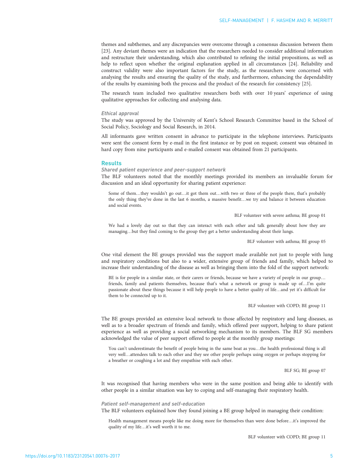themes and subthemes, and any discrepancies were overcome through a consensus discussion between them [\[23\]](#page-9-0). Any deviant themes were an indication that the researchers needed to consider additional information and restructure their understanding, which also contributed to refining the initial propositions, as well as help to reflect upon whether the original explanation applied in all circumstances [\[24](#page-9-0)]. Reliability and construct validity were also important factors for the study, as the researchers were concerned with analysing the results and ensuring the quality of the study, and furthermore, enhancing the dependability of the results by examining both the process and the product of the research for consistency [[25](#page-9-0)].

The research team included two qualitative researchers both with over 10 years' experience of using qualitative approaches for collecting and analysing data.

#### Ethical approval

The study was approved by the University of Kent's School Research Committee based in the School of Social Policy, Sociology and Social Research, in 2014.

All informants gave written consent in advance to participate in the telephone interviews. Participants were sent the consent form by e-mail in the first instance or by post on request; consent was obtained in hard copy from nine participants and e-mailed consent was obtained from 21 participants.

#### **Results**

Shared patient experience and peer-support network

The BLF volunteers noted that the monthly meetings provided its members an invaluable forum for discussion and an ideal opportunity for sharing patient experience:

Some of them…they wouldn't go out…it got them out…with two or three of the people there, that's probably the only thing they've done in the last 6 months, a massive benefit…we try and balance it between education and social events.

BLF volunteer with severe asthma; BE group 01

We had a lovely day out so that they can interact with each other and talk generally about how they are managing…but they find coming to the group they get a better understanding about their lungs.

BLF volunteer with asthma; BE group 05

One vital element the BE groups provided was the support made available not just to people with lung and respiratory conditions but also to a wider, extensive group of friends and family, which helped to increase their understanding of the disease as well as bringing them into the fold of the support network:

BE is for people in a similar state, or their carers or friends, because we have a variety of people in our group… friends, family and patients themselves, because that's what a network or group is made up of…I'm quite passionate about these things because it will help people to have a better quality of life…and yet it's difficult for them to be connected up to it.

#### BLF volunteer with COPD; BE group 11

The BE groups provided an extensive local network to those affected by respiratory and lung diseases, as well as to a broader spectrum of friends and family, which offered peer support, helping to share patient experience as well as providing a social networking mechanism to its members. The BLF SG members acknowledged the value of peer support offered to people at the monthly group meetings:

You can't underestimate the benefit of people being in the same boat as you...the health professional thing is all very well…attendees talk to each other and they see other people perhaps using oxygen or perhaps stopping for a breather or coughing a lot and they empathise with each other.

#### BLF SG; BE group 07

It was recognised that having members who were in the same position and being able to identify with other people in a similar situation was key to coping and self-managing their respiratory health.

Patient self-management and self-education The BLF volunteers explained how they found joining a BE group helped in managing their condition:

Health management means people like me doing more for themselves than were done before…it's improved the quality of my life…it's well worth it to me.

BLF volunteer with COPD; BE group 11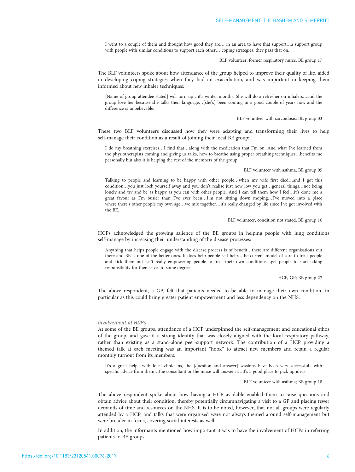I went to a couple of them and thought how good they are… in an area to have that support…a support group with people with similar conditions to support each other… coping strategies, they pass that on.

BLF volunteer, former respiratory nurse; BE group 17

The BLF volunteers spoke about how attendance of the group helped to improve their quality of life, aided in developing coping strategies when they had an exacerbation, and was important in keeping them informed about new inhaler techniques:

[Name of group attendee stated] will turn up…it's winter months. She will do a refresher on inhalers…and the group love her because she talks their language…[she's] been coming in a good couple of years now and the difference is unbelievable.

BLF volunteer with sarcoidosis; BE group 03

These two BLF volunteers discussed how they were adapting and transforming their lives to help self-manage their condition as a result of joining their local BE group:

I do my breathing exercises…I find that…along with the medication that I'm on. And what I've learned from the physiotherapists coming and giving us talks, how to breathe using proper breathing techniques…benefits me personally but also it is helping the rest of the members of the group.

BLF volunteer with asthma; BE group 05

Talking to people and learning to be happy with other people…when my wife first died…and I got this condition…you just lock yourself away and you don't realise just how low you get…general things…not being lonely and try and be as happy as you can with other people. And I can tell them how I feel...it's done me a great favour as I'm busier than I've ever been…I'm not sitting down moping…I've moved into a place where there's other people my own age…we mix together…it's really changed by life since I've got involved with the BE.

BLF volunteer, condition not stated; BE group 16

HCPs acknowledged the growing salience of the BE groups in helping people with lung conditions self-manage by increasing their understanding of the disease processes:

Anything that helps people engage with the disease process is of benefit…there are different organisations out there and BE is one of the better ones. It does help people self-help…the current model of care to treat people and kick them out isn't really empowering people to treat their own conditions…get people to start taking responsibility for themselves to some degree.

#### HCP, GP; BE group 27

The above respondent, a GP, felt that patients needed to be able to manage their own condition, in particular as this could bring greater patient empowerment and less dependency on the NHS.

#### Involvement of HCPs

At some of the BE groups, attendance of a HCP underpinned the self-management and educational ethos of the group, and gave it a strong identity that was closely aligned with the local respiratory pathway, rather than existing as a stand-alone peer-support network. The contribution of a HCP providing a themed talk at each meeting was an important "hook" to attract new members and retain a regular monthly turnout from its members:

It's a great help…with local clinicians, the [question and answer] sessions have been very successful…with specific advice from them…the consultant or the nurse will answer it…it's a good place to pick up ideas.

BLF volunteer with asthma; BE group 18

The above respondent spoke about how having a HCP available enabled them to raise questions and obtain advice about their condition, thereby potentially circumnavigating a visit to a GP and placing fewer demands of time and resources on the NHS. It is to be noted, however, that not all groups were regularly attended by a HCP, and talks that were organised were not always themed around self-management but were broader in focus, covering social interests as well.

In addition, the informants mentioned how important it was to have the involvement of HCPs in referring patients to BE groups: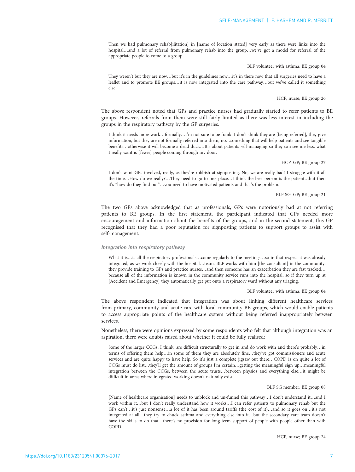<span id="page-7-0"></span>Then we had pulmonary rehab[ilitation] in [name of location stated] very early as there were links into the hospital…and a lot of referral from pulmonary rehab into the group…we've got a model for referral of the appropriate people to come to a group.

#### BLF volunteer with asthma; BE group 04

They weren't but they are now...but it's in the guidelines now...it's in there now that all surgeries need to have a leaflet and to promote BE groups…it is now integrated into the care pathway…but we've called it something else.

#### HCP, nurse; BE group 26

The above respondent noted that GPs and practice nurses had gradually started to refer patients to BE groups. However, referrals from them were still fairly limited as there was less interest in including the groups in the respiratory pathway by the GP surgeries:

I think it needs more work…formally…I'm not sure to be frank. I don't think they are [being referred], they give information, but they are not formally referred into them, no…something that will help patients and see tangible benefits…otherwise it will become a dead duck…It's about patients self-managing so they can see me less, what I really want is [fewer] people coming through my door.

#### HCP, GP; BE group 27

I don't want GPs involved, really, as they're rubbish at signposting. No, we are really bad! I struggle with it all the time…How do we really?…They need to go to one place…I think the best person is the patient…but then it's "how do they find out"…you need to have motivated patients and that's the problem.

#### BLF SG, GP; BE group 21

The two GPs above acknowledged that as professionals, GPs were notoriously bad at not referring patients to BE groups. In the first statement, the participant indicated that GPs needed more encouragement and information about the benefits of the groups, and in the second statement, this GP recognised that they had a poor reputation for signposting patients to support groups to assist with self-management.

#### Integration into respiratory pathway

What it is…is all the respiratory professionals…come regularly to the meetings…so in that respect it was already integrated, as we work closely with the hospital…team. BLF works with him [the consultant] in the community, they provide training to GPs and practice nurses…and then someone has an exacerbation they are fast tracked… because all of the information is known in the community service runs into the hospital, so if they turn up at [Accident and Emergency] they automatically get put onto a respiratory ward without any triaging.

#### BLF volunteer with asthma; BE group 04

The above respondent indicated that integration was about linking different healthcare services from primary, community and acute care with local community BE groups, which would enable patients to access appropriate points of the healthcare system without being referred inappropriately between services.

Nonetheless, there were opinions expressed by some respondents who felt that although integration was an aspiration, there were doubts raised about whether it could be fully realised:

Some of the larger CCGs, I think, are difficult structurally to get in and do work with and there's probably…in terms of offering them help…in some of them they are absolutely fine…they've got commissioners and acute services and are quite happy to have help. So it's just a complete jigsaw out there...COPD is on quite a lot of CCGs must do list…they'll get the amount of groups I'm certain…getting the meaningful sign up…meaningful integration between the CCGs, between the acute trusts…between physios and everything else…it might be difficult in areas where integrated working doesn't naturally exist.

#### BLF SG member; BE group 08

[Name of healthcare organisation] needs to unblock and un-funnel this pathway…I don't understand it…and I work within it…but I don't really understand how it works…I can refer patients to pulmonary rehab but the GPs can't…it's just nonsense…a lot of it has been around tariffs (the cost of it)…and so it goes on…it's not integrated at all…they try to chuck asthma and everything else into it…but the secondary care team doesn't have the skills to do that…there's no provision for long-term support of people with people other than with COPD.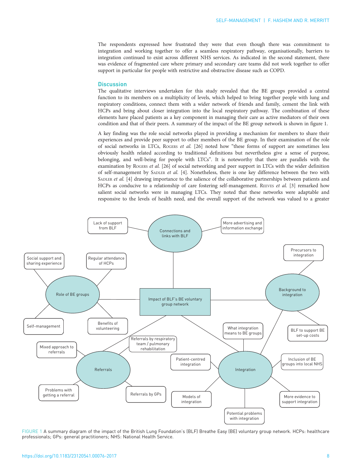The respondents expressed how frustrated they were that even though there was commitment to integration and working together to offer a seamless respiratory pathway, organisationally, barriers to integration continued to exist across different NHS services. As indicated in the second statement, there was evidence of fragmented care where primary and secondary care teams did not work together to offer support in particular for people with restrictive and obstructive disease such as COPD.

#### **Discussion**

The qualitative interviews undertaken for this study revealed that the BE groups provided a central function to its members on a multiplicity of levels, which helped to bring together people with lung and respiratory conditions, connect them with a wider network of friends and family, cement the link with HCPs and bring about closer integration into the local respiratory pathway. The combination of these elements have placed patients as a key component in managing their care as active mediators of their own condition and that of their peers. A summary of the impact of the BE group network is shown in [figure 1](#page-7-0).

A key finding was the role social networks played in providing a mechanism for members to share their experiences and provide peer support to other members of the BE group. In their examination of the role of social networks in LTCs, ROGERS et al. [[26](#page-10-0)] noted how "these forms of support are sometimes less obviously health related according to traditional definitions but nevertheless give a sense of purpose, belonging, and well-being for people with LTCs". It is noteworthy that there are parallels with the examination by ROGERS et al. [\[26\]](#page-10-0) of social networking and peer support in LTCs with the wider definition of self-management by SADLER et al. [\[4\]](#page-9-0). Nonetheless, there is one key difference between the two with SADLER et al. [[4](#page-9-0)] drawing importance to the salience of the collaborative partnerships between patients and HCPs as conducive to a relationship of care fostering self-management. REEVES *et al.* [[3](#page-9-0)] remarked how salient social networks were in managing LTCs. They noted that these networks were adaptable and responsive to the levels of health need, and the overall support of the network was valued to a greater



FIGURE 1 A summary diagram of the impact of the British Lung Foundation's (BLF) Breathe Easy (BE) voluntary group network. HCPs: healthcare professionals; GPs: general practitioners; NHS: National Health Service.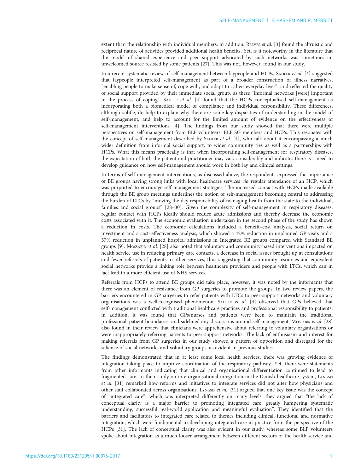<span id="page-9-0"></span>extent than the relationship with individual members; in addition, REEVES et al. [3] found the altruistic and reciprocal nature of activities provided additional health benefits. Yet, is it noteworthy in the literature that the model of shared experience and peer support advocated by such networks was sometimes an unwelcomed source resisted by some patients [[27](#page-10-0)]. This was not, however, found in our study.

In a recent systematic review of self-management between laypeople and HCPs, SADLER et al. [4] suggested that laypeople interpreted self-management as part of a broader construction of illness narratives, "enabling people to make sense of, cope with, and adapt to…their everyday lives", and reflected the quality of social support provided by their immediate social group, as these "informal networks [were] important in the process of coping". SADLER et al. [4] found that the HCPs conceptualised self-management as incorporating both a biomedical model of compliance and individual responsibility. These differences, although subtle, do help to explain why there are some key disparities of understanding in the model of self-management, and help to account for the limited amount of evidence on the effectiveness of self-management interventions [4]. The findings from our study showed that there were multiple perspectives on self-management from BLF volunteers, BLF SG members and HCPs. This resonates with the concept of self-management described by SADLER et al.  $[4]$ , who talk about it encompassing a much wider definition from informal social support, to wider community ties as well as a partnerships with HCPs. What this means practically is that when incorporating self-management for respiratory diseases, the expectation of both the patient and practitioner may vary considerably and indicates there is a need to develop guidance on how self-management should work in both lay and clinical settings.

In terms of self-management interventions, as discussed above, the respondents expressed the importance of BE groups having strong links with local healthcare services via regular attendance of an HCP, which was purported to encourage self-management strategies. The increased contact with HCPs made available through the BE group meetings underlines the notion of self-management becoming central to addressing the burden of LTCs by "moving the day responsibility of managing health from the state to the individual, families and social groups" [[28](#page-10-0)–[30\]](#page-10-0). Given the complexity of self-management in respiratory diseases, regular contact with HCPs ideally should reduce acute admissions and thereby decrease the economic costs associated with it. The economic evaluation undertaken in the second phase of the study has shown a reduction in costs. The economic calculations included a benefit–cost analysis, social return on investment and a cost–effectiveness analysis, which showed a 42% reduction in unplanned GP visits and a 57% reduction in unplanned hospital admissions in Integrated BE groups compared with Standard BE groups [9]. MOSSABIR et al. [\[28\]](#page-10-0) also noted that voluntary and community-based interventions impacted on health service use in reducing primary care contacts, a decrease in social issues brought up at consultations and fewer referrals of patients to other services, thus suggesting that community resources and equivalent social networks provide a linking role between healthcare providers and people with LTCs, which can in fact lead to a more efficient use of NHS services.

Referrals from HCPs to attend BE groups did take place; however, it was noted by the informants that there was an element of resistance from GP surgeries to promote the groups. In two review papers, the barriers encountered in GP surgeries to refer patients with LTCs to peer-support networks and voluntary organisations was a well-recognised phenomenon. SADLER et al. [4] observed that GPs believed that self-management conflicted with traditional healthcare practices and professional responsibility to patients; in addition, it was found that GPs/nurses and patients were keen to maintain the traditional professional-patient boundaries, and sidelined any discussions around self-management. MOSSABIR et al. [\[28](#page-10-0)] also found in their review that clinicians were apprehensive about referring to voluntary organisations or were inappropriately referring patients to peer-support networks. The lack of enthusiasm and interest for making referrals from GP surgeries in our study showed a pattern of opposition and disregard for the salience of social networks and voluntary groups, as evident in previous studies.

The findings demonstrated that in at least some local health services, there was growing evidence of integration taking place to improve coordination of the respiratory pathway. Yet, there were statements from other informants indicating that clinical and organisational differentiation continued to lead to fragmented care. In their study on interorganisational integration in the Danish healthcare system, LYNGSØ et al. [[31](#page-10-0)] remarked how reforms and initiatives to integrate services did not alter how physicians and other staff collaborated across organisations. LYNGSØ et al. [[31\]](#page-10-0) argued that one key issue was the concept of "integrated care", which was interpreted differently on many levels; they argued that "the lack of conceptual clarity is a major barrier to promoting integrated care, greatly hampering systematic understanding, successful real-world application and meaningful evaluation". They identified that the barriers and facilitators to integrated care related to themes including clinical, functional and normative integration, which were fundamental to developing integrated care in practice from the perspective of the HCPs [\[31\]](#page-10-0). The lack of conceptual clarity was also evident in our study, whereas some BLF volunteers spoke about integration as a much looser arrangement between different sectors of the health service and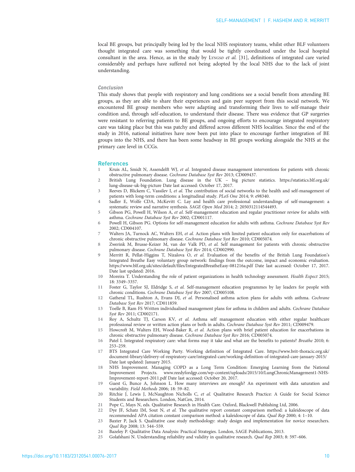<span id="page-10-0"></span>local BE groups, but principally being led by the local NHS respiratory teams, whilst other BLF volunteers thought integrated care was something that would be tightly coordinated under the local hospital consultant in the area. Hence, as in the study by LYNGSØ et al. [31], definitions of integrated care varied considerably and perhaps have suffered not being adopted by the local NHS due to the lack of joint understanding.

#### Conclusion

This study shows that people with respiratory and lung conditions see a social benefit from attending BE groups, as they are able to share their experiences and gain peer support from this social network. We encountered BE group members who were adapting and transforming their lives to self-manage their condition and, through self-education, to understand their disease. There was evidence that GP surgeries were resistant to referring patients to BE groups, and ongoing efforts to encourage integrated respiratory care was taking place but this was patchy and differed across different NHS localities. Since the end of the study in 2016, national initiatives have now been put into place to encourage further integration of BE groups into the NHS, and there has been some headway in BE groups working alongside the NHS at the primary care level in CCGs.

#### References

- Kruis AL, Smidt N, Assendelft WJ, et al. Integrated disease management interventions for patients with chronic obstructive pulmonary disease. Cochrane Database Syst Rev 2013; CD009437.
- 2 British Lung Foundation. Lung disease in the UK big picture statistics. [https://statistics.blf.org.uk/](https://statistics.blf.org.uk/lung-disease-uk-big-picture) [lung-disease-uk-big-picture](https://statistics.blf.org.uk/lung-disease-uk-big-picture) Date last accessed: October 17, 2017.
- 3 Reeves D, Blickem C, Vassilev I, et al. The contribution of social networks to the health and self-management of patients with long-term conditions: a longitudinal study. PLoS One 2014; 9: e98340.
- 4 Sadler E, Wolfe CDA, McKevitt C. Lay and health care professional understandings of self-management: a systematic review and narrative synthesis. SAGE Open Med 2014; 2: 2050312114544493.
- 5 Gibson PG, Powell H, Wilson A, et al. Self-management education and regular practitioner review for adults with asthma. Cochrane Database Syst Rev 2002; CD001117.
- 6 Powell H, Gibson PG. Options for self-management education for adults with asthma. Cochrane Database Syst Rev 2002; CD004107<.>
- Walters JA, Turnock AC, Walters EH, et al. Action plans with limited patient education only for exacerbations of chronic obstructive pulmonary disease. Cochrane Database Syst Rev 2010; CD005074.
- 8 Zwerink M, Brusse-Keizer M, van der Valk PD, et al. Self management for patients with chronic obstructive pulmonary disease. Cochrane Database Syst Rev 2014; CD002990.
- Merritt R, Pellat-Higgins T, Nizalova O, et al. Evaluation of the benefits of the British Lung Foundation's Integrated Breathe Easy voluntary group network: findings from the outcome, impact and economic evaluation. <https://www.blf.org.uk/sites/default/files/IntegratedBreatheEasy-081216a.pdf> Date last accessed: October 17, 2017. Date last updated: 2016.
- 10 Moreira T. Understanding the role of patient organizations in health technology assessment. Health Expect 2015; 18: 3349–3357.
- 11 Foster G, Taylor SJ, Eldridge S, et al. Self-management education programmes by lay leaders for people with chronic conditions. Cochrane Database Syst Rev 2007; CD005108.
- 12 Gatheral TL, Rushton A, Evans DJ, et al. Personalised asthma action plans for adults with asthma. Cochrane Database Syst Rev 2017; CD011859.
- 13 Toelle B, Ram FS Written individualised management plans for asthma in children and adults. Cochrane Database Syst Rev 2011; CD002171.
- 14 Roy A, Schultz TJ, Carson KV, et al. Asthma self management education with either regular healthcare professional review or written action plans or both in adults. Cochrane Database Syst Rev 2011; CD009479.
- 15 Howcroft M, Walters EH, Wood-Baker R, et al. Action plans with brief patient education for exacerbations in chronic obstructive pulmonary disease. Cochrane Database Syst Rev 2016; CD005074.
- 16 Patel I. Integrated respiratory care: what forms may it take and what are the benefits to patients? Breathe 2010; 6: 253–259.
- 17 BTS Integrated Care Working Party. Working definition of Integrated Care. [https://www.brit-thoracic.org.uk/](https://www.brit-thoracic.org.uk/document-library/delivery-of-respiratory-care/integrated-care/working-definition-of-integrated-care-january-2015/) [document-library/delivery-of-respiratory-care/integrated-care/working-definition-of-integrated-care-january-2015/](https://www.brit-thoracic.org.uk/document-library/delivery-of-respiratory-care/integrated-care/working-definition-of-integrated-care-january-2015/) Date last updated: January 2015.
- 18 NHS Improvement. Managing COPD as a Long Term Condition: Emerging Learning from the National Improvement Projects. [www.reedyfordgp.com/wp-content/uploads/2015/10/LungChronicManagement1-NHS-](http://www.reedyfordgp.com/wp-content/uploads/2015/10/LungChronicManagement1-NHS-Improvement-report-2011.pdf)[Improvement-report-2011.pdf](http://www.reedyfordgp.com/wp-content/uploads/2015/10/LungChronicManagement1-NHS-Improvement-report-2011.pdf) Date last accessed: October 20, 2017.
- 19 Guest G, Bunce A, Johnson L. How many interviews are enough? An experiment with data saturation and variability. Field Methods 2006; 18: 59–82.
- 20 Ritchie J, Lewis J, McNaughton Nicholls C, et al. Qualitative Research Practice: A Guide for Social Science Students and Researchers. London, NatCen, 2014.
- 21 Pope C, Mays N, eds. Qualitative Research in Health Care. Oxford, Blackwell Publishing Ltd, 2006.
- 22 Dye JF, Schatz IM, Sout N, et al. The qualitative report constant comparison method: a kaleidoscope of data recommended APA citation constant comparison method: a kaleidoscope of data. Qual Rep 2000; 4: 1–10.
- 23 Baxter P, Jack S. Qualitative case study methodology: study design and implementation for novice researchers. Qual Rep 2008; 13: 544–559.
- 24 Bazeley P. Qualitative Data Analysis: Practical Strategies. London, SAGE Publications, 2013.
- 25 Golafshani N. Understanding reliability and validity in qualitative research. Qual Rep 2003; 8: 597–606.